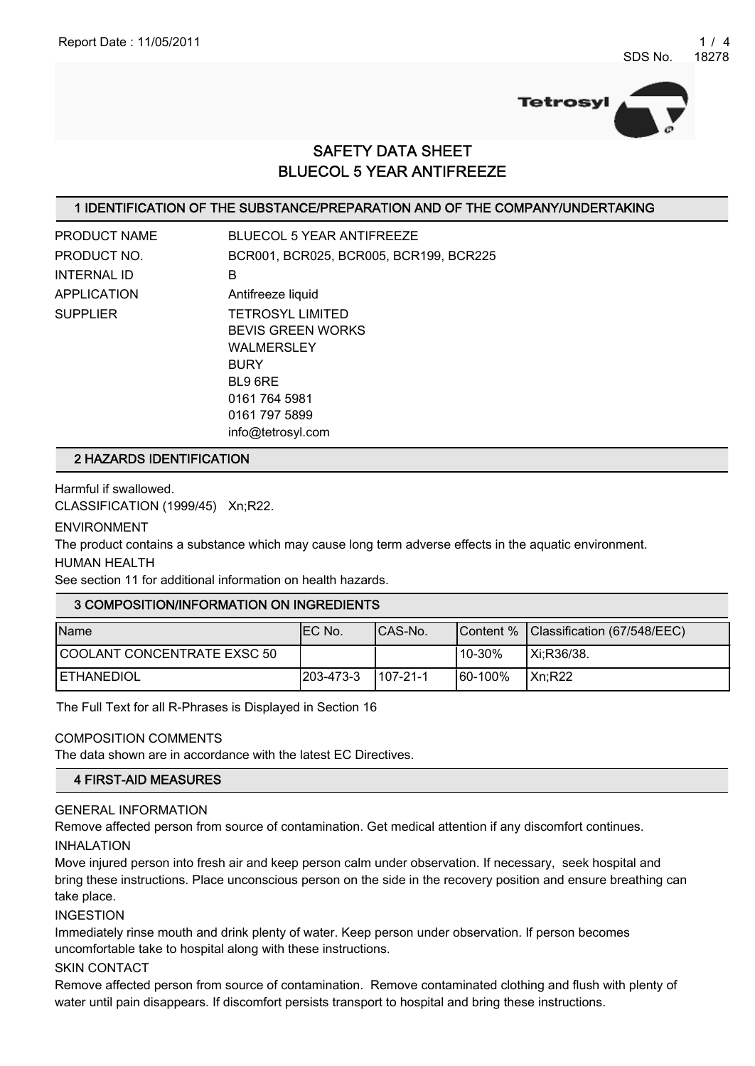

# SAFETY DATA SHEET BLUECOL 5 YEAR ANTIFREEZE

#### 1 IDENTIFICATION OF THE SUBSTANCE/PREPARATION AND OF THE COMPANY/UNDERTAKING

| <b>PRODUCT NAME</b> | <b>BLUECOL 5 YEAR ANTIFREEZE</b>       |
|---------------------|----------------------------------------|
| PRODUCT NO.         | BCR001, BCR025, BCR005, BCR199, BCR225 |
| <b>INTERNAL ID</b>  | в                                      |
| <b>APPLICATION</b>  | Antifreeze liquid                      |
| <b>SUPPLIER</b>     | <b>TETROSYL LIMITED</b>                |
|                     | <b>BEVIS GREEN WORKS</b>               |
|                     | <b>WALMERSLEY</b>                      |
|                     | <b>BURY</b>                            |
|                     | BL9 6RE                                |
|                     | 0161 764 5981                          |
|                     | 0161 797 5899                          |
|                     | info@tetrosyl.com                      |

#### 2 HAZARDS IDENTIFICATION

Harmful if swallowed.

CLASSIFICATION (1999/45) Xn;R22.

ENVIRONMENT

The product contains a substance which may cause long term adverse effects in the aquatic environment. HUMAN HEALTH

See section 11 for additional information on health hazards.

#### 3 COMPOSITION/INFORMATION ON INGREDIENTS

| <b>Name</b>                 | IEC No.           | ICAS-No.        |          | Content % Classification (67/548/EEC) |
|-----------------------------|-------------------|-----------------|----------|---------------------------------------|
| COOLANT CONCENTRATE EXSC 50 |                   |                 | '10-30%  | $\vert$ Xi;R36/38.                    |
| <b>IETHANEDIOL</b>          | $ 203 - 473 - 3 $ | $1107 - 21 - 1$ | 160-100% | IXn:R22                               |

The Full Text for all R-Phrases is Displayed in Section 16

#### COMPOSITION COMMENTS

The data shown are in accordance with the latest EC Directives.

# 4 FIRST-AID MEASURES

## GENERAL INFORMATION

Remove affected person from source of contamination. Get medical attention if any discomfort continues. INHALATION

Move injured person into fresh air and keep person calm under observation. If necessary, seek hospital and bring these instructions. Place unconscious person on the side in the recovery position and ensure breathing can take place.

INGESTION

Immediately rinse mouth and drink plenty of water. Keep person under observation. If person becomes uncomfortable take to hospital along with these instructions.

SKIN CONTACT

Remove affected person from source of contamination. Remove contaminated clothing and flush with plenty of water until pain disappears. If discomfort persists transport to hospital and bring these instructions.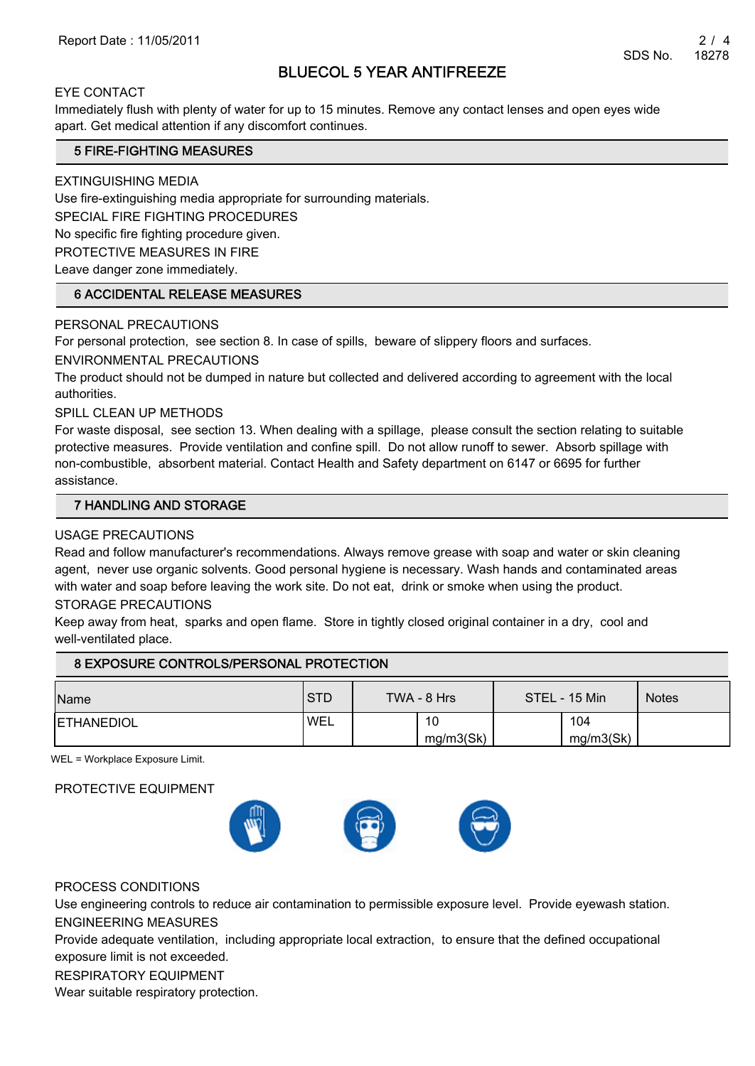# BLUECOL 5 YEAR ANTIFREEZE

#### EYE CONTACT

Immediately flush with plenty of water for up to 15 minutes. Remove any contact lenses and open eyes wide apart. Get medical attention if any discomfort continues.

#### 5 FIRE-FIGHTING MEASURES

EXTINGUISHING MEDIA

Use fire-extinguishing media appropriate for surrounding materials.

SPECIAL FIRE FIGHTING PROCEDURES

No specific fire fighting procedure given.

PROTECTIVE MEASURES IN FIRE

Leave danger zone immediately.

#### 6 ACCIDENTAL RELEASE MEASURES

#### PERSONAL PRECAUTIONS

For personal protection, see section 8. In case of spills, beware of slippery floors and surfaces.

ENVIRONMENTAL PRECAUTIONS

The product should not be dumped in nature but collected and delivered according to agreement with the local authorities.

SPILL CLEAN UP METHODS

For waste disposal, see section 13. When dealing with a spillage, please consult the section relating to suitable protective measures. Provide ventilation and confine spill. Do not allow runoff to sewer. Absorb spillage with non-combustible, absorbent material. Contact Health and Safety department on 6147 or 6695 for further assistance.

#### 7 HANDLING AND STORAGE

#### USAGE PRECAUTIONS

Read and follow manufacturer's recommendations. Always remove grease with soap and water or skin cleaning agent, never use organic solvents. Good personal hygiene is necessary. Wash hands and contaminated areas with water and soap before leaving the work site. Do not eat, drink or smoke when using the product.

#### STORAGE PRECAUTIONS

Keep away from heat, sparks and open flame. Store in tightly closed original container in a dry, cool and well-ventilated place.

## 8 EXPOSURE CONTROLS/PERSONAL PROTECTION

| Name              | <b>STD</b> | TWA - 8 Hrs |                 | STEL - 15 Min |                  | <b>Notes</b> |
|-------------------|------------|-------------|-----------------|---------------|------------------|--------------|
| <b>ETHANEDIOL</b> | <b>WEL</b> |             | 10<br>mg/m3(Sk) |               | 104<br>mg/m3(Sk) |              |

WEL = Workplace Exposure Limit.

#### PROTECTIVE EQUIPMENT



#### PROCESS CONDITIONS

Use engineering controls to reduce air contamination to permissible exposure level. Provide eyewash station. ENGINEERING MEASURES

Provide adequate ventilation, including appropriate local extraction, to ensure that the defined occupational exposure limit is not exceeded.

#### RESPIRATORY EQUIPMENT

Wear suitable respiratory protection.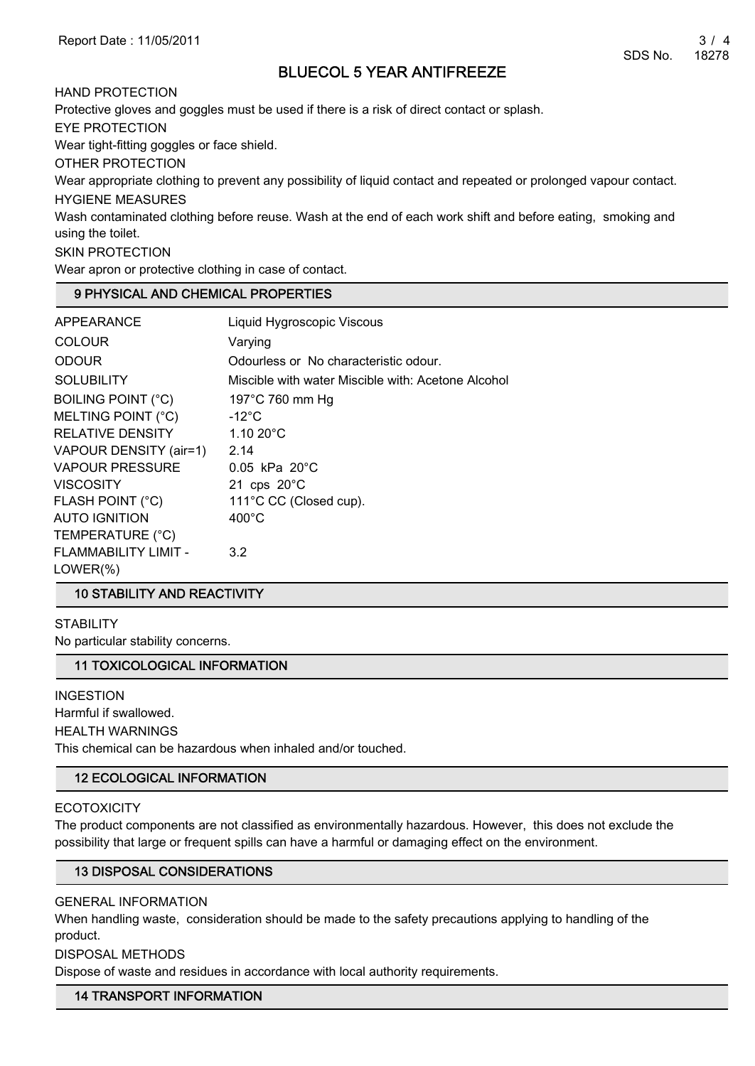# BLUECOL 5 YEAR ANTIFREEZE

HAND PROTECTION Protective gloves and goggles must be used if there is a risk of direct contact or splash. EYE PROTECTION Wear tight-fitting goggles or face shield. OTHER PROTECTION Wear appropriate clothing to prevent any possibility of liquid contact and repeated or prolonged vapour contact. HYGIENE MEASURES Wash contaminated clothing before reuse. Wash at the end of each work shift and before eating, smoking and using the toilet. SKIN PROTECTION Wear apron or protective clothing in case of contact.

## 9 PHYSICAL AND CHEMICAL PROPERTIES

| APPEARANCE                | Liquid Hygroscopic Viscous                         |
|---------------------------|----------------------------------------------------|
| <b>COLOUR</b>             | Varying                                            |
| <b>ODOUR</b>              | Odourless or No characteristic odour.              |
| <b>SOLUBILITY</b>         | Miscible with water Miscible with: Acetone Alcohol |
| <b>BOILING POINT (°C)</b> | 197 $\degree$ C 760 mm Hg                          |
| MELTING POINT (°C)        | $-12^{\circ}$ C                                    |
| <b>RELATIVE DENSITY</b>   | $1.1020^{\circ}$ C                                 |
| VAPOUR DENSITY (air=1)    | 2.14                                               |
| <b>VAPOUR PRESSURE</b>    | $0.05$ kPa $20^{\circ}$ C                          |
| <b>VISCOSITY</b>          | 21 cps $20^{\circ}$ C                              |
| FLASH POINT (°C)          | 111°C CC (Closed cup).                             |
| <b>AUTO IGNITION</b>      | $400^{\circ}$ C                                    |
| TEMPERATURE (°C)          |                                                    |
| FLAMMABILITY LIMIT -      | 3.2                                                |
| $LOWER(\%)$               |                                                    |

#### 10 STABILITY AND REACTIVITY

**STABILITY** No particular stability concerns.

#### 11 TOXICOLOGICAL INFORMATION

INGESTION Harmful if swallowed. HEALTH WARNINGS This chemical can be hazardous when inhaled and/or touched.

#### 12 ECOLOGICAL INFORMATION

#### **ECOTOXICITY**

The product components are not classified as environmentally hazardous. However, this does not exclude the possibility that large or frequent spills can have a harmful or damaging effect on the environment.

#### 13 DISPOSAL CONSIDERATIONS

GENERAL INFORMATION

When handling waste, consideration should be made to the safety precautions applying to handling of the product.

DISPOSAL METHODS

Dispose of waste and residues in accordance with local authority requirements.

#### 14 TRANSPORT INFORMATION